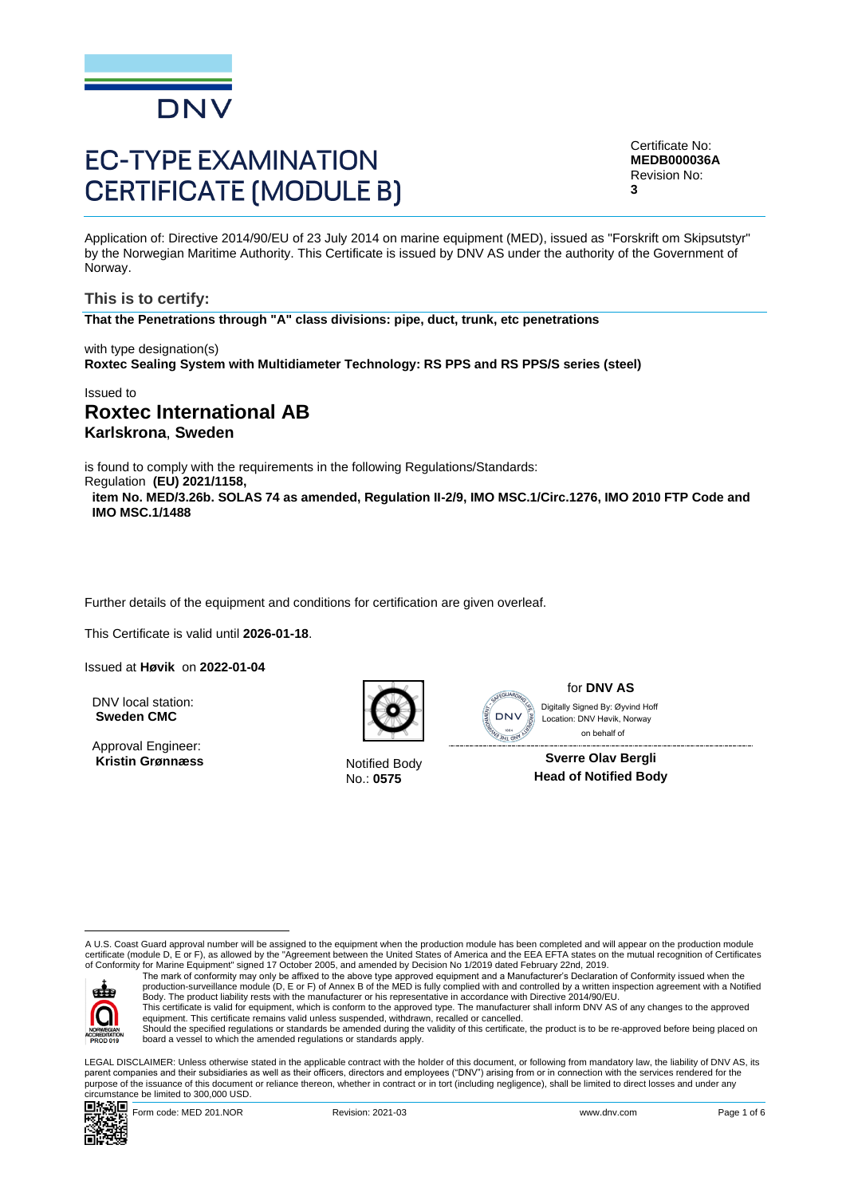

# **EC-TYPE EXAMINATION CERTIFICATE (MODULE B)**

Certificate No: **MEDB000036A** Revision No: **3**

Application of: Directive 2014/90/EU of 23 July 2014 on marine equipment (MED), issued as "Forskrift om Skipsutstyr" by the Norwegian Maritime Authority. This Certificate is issued by DNV AS under the authority of the Government of Norway.

**This is to certify: That the Penetrations through "A" class divisions: pipe, duct, trunk, etc penetrations**

with type designation(s) **Roxtec Sealing System with Multidiameter Technology: RS PPS and RS PPS/S series (steel)**

Issued to

# **Roxtec International AB Karlskrona**, **Sweden**

is found to comply with the requirements in the following Regulations/Standards:

Regulation **(EU) 2021/1158,** 

**item No. MED/3.26b. SOLAS 74 as amended, Regulation II-2/9, IMO MSC.1/Circ.1276, IMO 2010 FTP Code and IMO MSC.1/1488**

Further details of the equipment and conditions for certification are given overleaf.

This Certificate is valid until **2026-01-18**.

Issued at **Høvik** on **2022-01-04**

DNV local station: **Sweden CMC**

Approval Engineer: Kristin Grønnæss Notified Body



No.: **0575**



for **DNV AS** on behalf ofDigitally Signed By: Øyvind Hoff Location: DNV Høvik, Norway

**Sverre Olav Bergli Head of Notified Body**

A U.S. Coast Guard approval number will be assigned to the equipment when the production module has been completed and will appear on the production module certificate (module D, E or F), as allowed by the "Agreement between the United States of America and the EEA EFTA states on the mutual recognition of Certificates<br>of Conformity for Marine Equipment" signed 17 October 2005



The mark of conformity may only be affixed to the above type approved equipment and a Manufacturer's Declaration of Conformity issued when the<br>production-surveillance module (D, E or F) of Annex B of the MED is fully compl Body. The product liability rests with the manufacturer or his representative in accordance with Directive 2014/90/EU.

This certificate is valid for equipment, which is conform to the approved type. The manufacturer shall inform DNV AS of any changes to the approved<br>equipment. This certificate remains valid unless suspended, withdrawn, rec Should the specified regulations or standards be amended during the validity of this certificate, the product is to be re-approved before being placed on

board a vessel to which the amended regulations or standards apply.

LEGAL DISCLAIMER: Unless otherwise stated in the applicable contract with the holder of this document, or following from mandatory law, the liability of DNV AS, its parent companies and their subsidiaries as well as their officers, directors and employees ("DNV") arising from or in connection with the services rendered for the purpose of the issuance of this document or reliance thereon, whether in contract or in tort (including negligence), shall be limited to direct losses and under any circumstance be limited to 300,000 USD.



Form code: MED 201.NOR **Revision: 2021-03** Revision: 2021-03 www.dnv.com Page 1 of 6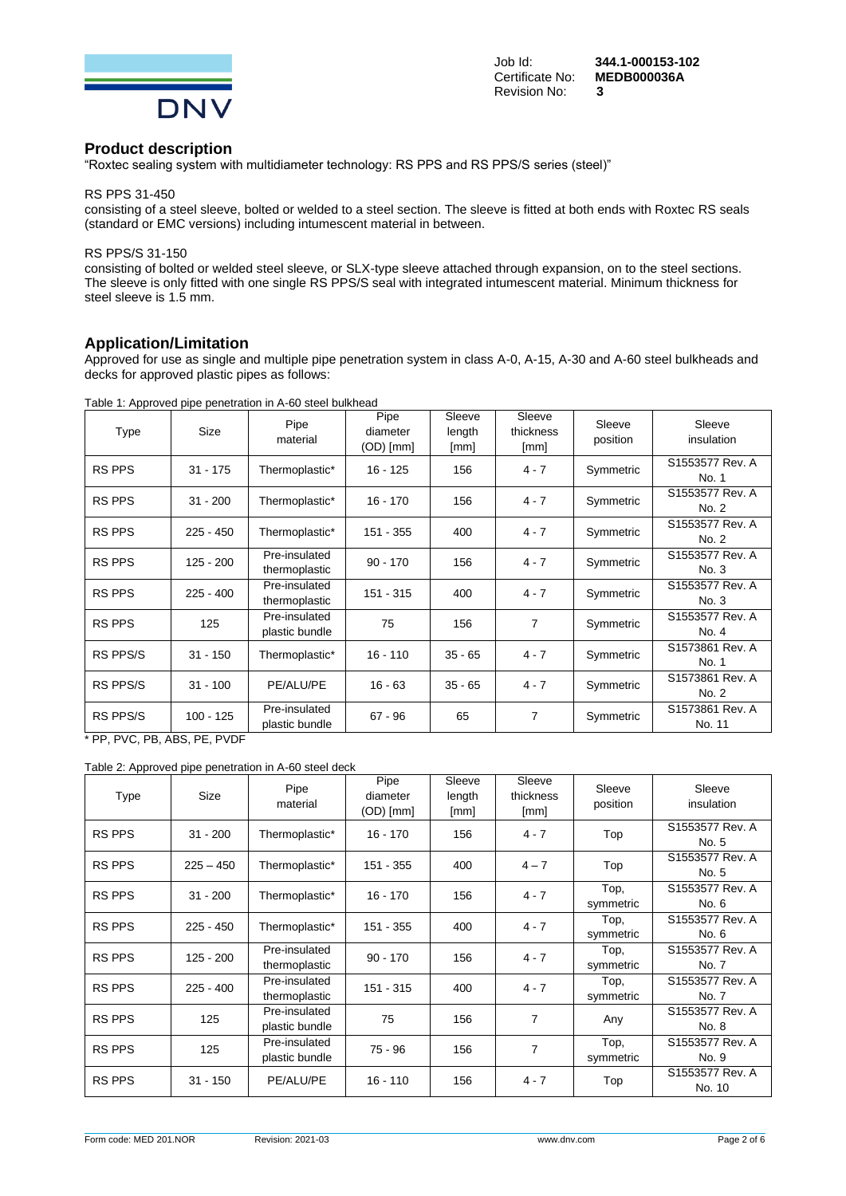

# **Product description**

"Roxtec sealing system with multidiameter technology: RS PPS and RS PPS/S series (steel)"

#### RS PPS 31-450

consisting of a steel sleeve, bolted or welded to a steel section. The sleeve is fitted at both ends with Roxtec RS seals (standard or EMC versions) including intumescent material in between.

#### RS PPS/S 31-150

consisting of bolted or welded steel sleeve, or SLX-type sleeve attached through expansion, on to the steel sections. The sleeve is only fitted with one single RS PPS/S seal with integrated intumescent material. Minimum thickness for steel sleeve is 1.5 mm.

## **Application/Limitation**

Approved for use as single and multiple pipe penetration system in class A-0, A-15, A-30 and A-60 steel bulkheads and decks for approved plastic pipes as follows:

| Table 1: Approved pipe penetration in A-60 steel bulkhead |
|-----------------------------------------------------------|
|-----------------------------------------------------------|

| Type            | Size        | Pipe<br>material                | Pipe<br>diameter<br>(OD) [mm] | Sleeve<br>length<br>[mm] | Sleeve<br>thickness<br>[mm] | Sleeve<br>position | Sleeve<br>insulation      |
|-----------------|-------------|---------------------------------|-------------------------------|--------------------------|-----------------------------|--------------------|---------------------------|
| <b>RS PPS</b>   | $31 - 175$  | Thermoplastic*                  | $16 - 125$                    | 156                      | $4 - 7$                     | Symmetric          | S1553577 Rev. A<br>No. 1  |
| <b>RS PPS</b>   | $31 - 200$  | Thermoplastic*                  | $16 - 170$                    | 156                      | $4 - 7$                     | Symmetric          | S1553577 Rev. A<br>No. 2  |
| <b>RS PPS</b>   | $225 - 450$ | Thermoplastic*                  | 151 - 355                     | 400                      | $4 - 7$                     | Symmetric          | S1553577 Rev. A<br>No. 2  |
| <b>RS PPS</b>   | $125 - 200$ | Pre-insulated<br>thermoplastic  | $90 - 170$                    | 156                      | $4 - 7$                     | Symmetric          | S1553577 Rev. A<br>No. 3  |
| <b>RS PPS</b>   | $225 - 400$ | Pre-insulated<br>thermoplastic  | $151 - 315$                   | 400                      | $4 - 7$                     | Symmetric          | S1553577 Rev. A<br>No. 3  |
| <b>RS PPS</b>   | 125         | Pre-insulated<br>plastic bundle | 75                            | 156                      | 7                           | Symmetric          | S1553577 Rev. A<br>No. 4  |
| RS PPS/S        | $31 - 150$  | Thermoplastic*                  | $16 - 110$                    | $35 - 65$                | $4 - 7$                     | Symmetric          | S1573861 Rev. A<br>No. 1  |
| <b>RS PPS/S</b> | $31 - 100$  | PE/ALU/PE                       | $16 - 63$                     | $35 - 65$                | $4 - 7$                     | Symmetric          | S1573861 Rev. A<br>No. 2  |
| RS PPS/S        | $100 - 125$ | Pre-insulated<br>plastic bundle | $67 - 96$                     | 65                       | 7                           | Symmetric          | S1573861 Rev. A<br>No. 11 |

PP, PVC, PB, ABS, PE, PVDF

Table 2: Approved pipe penetration in A-60 steel deck

| Type          | Size        | Pipe<br>material                | Pipe<br>diameter<br>(OD) [mm] | Sleeve<br>length<br>[mm] | Sleeve<br>thickness<br>[mm] | Sleeve<br>position | Sleeve<br>insulation      |
|---------------|-------------|---------------------------------|-------------------------------|--------------------------|-----------------------------|--------------------|---------------------------|
| <b>RS PPS</b> | $31 - 200$  | Thermoplastic*                  | $16 - 170$                    | 156                      | $4 - 7$                     | Top                | S1553577 Rev. A<br>No. 5  |
| <b>RS PPS</b> | $225 - 450$ | Thermoplastic*                  | 151 - 355                     | 400                      | $4 - 7$                     | Top                | S1553577 Rev. A<br>No. 5  |
| <b>RS PPS</b> | $31 - 200$  | Thermoplastic*                  | $16 - 170$                    | 156                      | $4 - 7$                     | Top,<br>symmetric  | S1553577 Rev. A<br>No. 6  |
| <b>RS PPS</b> | $225 - 450$ | Thermoplastic*                  | 151 - 355                     | 400                      | $4 - 7$                     | Top,<br>symmetric  | S1553577 Rev. A<br>No. 6  |
| <b>RS PPS</b> | $125 - 200$ | Pre-insulated<br>thermoplastic  | $90 - 170$                    | 156                      | $4 - 7$                     | Top,<br>symmetric  | S1553577 Rev. A<br>No. 7  |
| <b>RS PPS</b> | $225 - 400$ | Pre-insulated<br>thermoplastic  | $151 - 315$                   | 400                      | $4 - 7$                     | Top,<br>symmetric  | S1553577 Rev. A<br>No. 7  |
| <b>RS PPS</b> | 125         | Pre-insulated<br>plastic bundle | 75                            | 156                      | 7                           | Any                | S1553577 Rev. A<br>No. 8  |
| <b>RS PPS</b> | 125         | Pre-insulated<br>plastic bundle | $75 - 96$                     | 156                      | 7                           | Top,<br>symmetric  | S1553577 Rev. A<br>No. 9  |
| <b>RS PPS</b> | $31 - 150$  | PE/ALU/PE                       | $16 - 110$                    | 156                      | $4 - 7$                     | Top                | S1553577 Rev. A<br>No. 10 |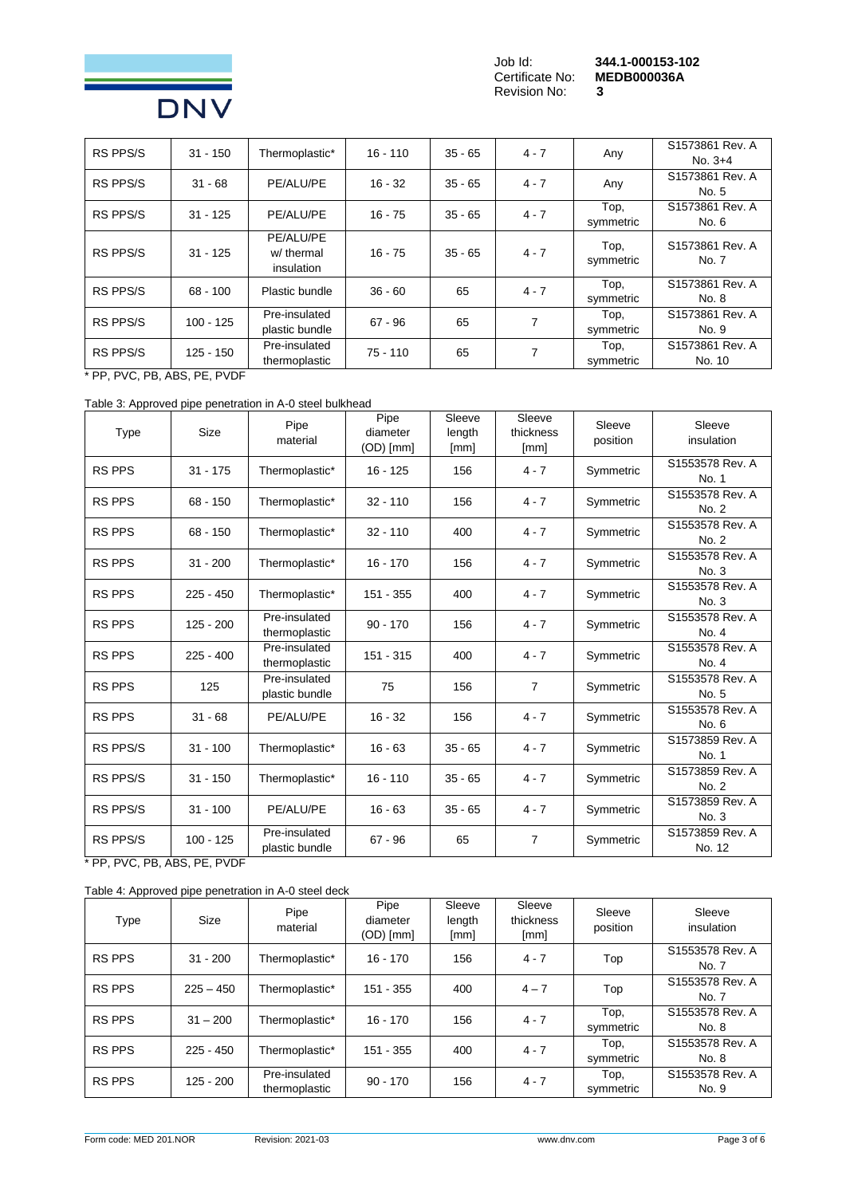

Revision No: **3**

Job Id: **344.1-000153-102** MEDB000036A<br>3

| <b>RS PPS/S</b> |             | $31 - 150$                   | Thermoplastic* | $16 - 110$ | $35 - 65$ | $4 - 7$   | Any             | S1573861 Rev. A |
|-----------------|-------------|------------------------------|----------------|------------|-----------|-----------|-----------------|-----------------|
|                 |             |                              |                |            |           |           | $No. 3+4$       |                 |
| <b>RS PPS/S</b> | $31 - 68$   | PE/ALU/PE                    | $16 - 32$      | $35 - 65$  | $4 - 7$   | Any       | S1573861 Rev. A |                 |
|                 |             |                              |                |            |           |           | No. 5           |                 |
| <b>RS PPS/S</b> | $31 - 125$  | PE/ALU/PE                    | $16 - 75$      | $35 - 65$  | $4 - 7$   | Top,      | S1573861 Rev. A |                 |
|                 |             |                              |                |            |           | symmetric | No. 6           |                 |
|                 |             | PE/ALU/PE                    |                |            |           | Top,      | S1573861 Rev. A |                 |
| <b>RS PPS/S</b> | $31 - 125$  | w/ thermal                   | $16 - 75$      | $35 - 65$  | $4 - 7$   | symmetric | No. 7           |                 |
|                 |             | insulation                   |                |            |           |           |                 |                 |
| <b>RS PPS/S</b> | $68 - 100$  |                              | Plastic bundle | $36 - 60$  | 65        | $4 - 7$   | Top,            | S1573861 Rev. A |
|                 |             |                              |                |            |           | symmetric | No. 8           |                 |
| RS PPS/S        | $100 - 125$ | Pre-insulated                | $67 - 96$      | 65         | 7         | Top,      | S1573861 Rev. A |                 |
|                 |             | plastic bundle               |                |            |           | symmetric | No. 9           |                 |
| RS PPS/S        |             | Pre-insulated<br>$125 - 150$ | $75 - 110$     | 65         | 7         | Top,      | S1573861 Rev. A |                 |
|                 |             | thermoplastic                |                |            |           | symmetric | No. 10          |                 |

\* PP, PVC, PB, ABS, PE, PVDF

Table 3: Approved pipe penetration in A-0 steel bulkhead

| <b>Type</b>     | <b>Size</b> | Pipe<br>material                | Pipe<br>diameter<br>$(OD)$ [mm] | Sleeve<br>length<br>[mm] | Sleeve<br>thickness<br>[mm] | Sleeve<br>position | Sleeve<br>insulation      |
|-----------------|-------------|---------------------------------|---------------------------------|--------------------------|-----------------------------|--------------------|---------------------------|
| <b>RS PPS</b>   | $31 - 175$  | Thermoplastic*                  | $16 - 125$                      | 156                      | $4 - 7$                     | Symmetric          | S1553578 Rev. A<br>No. 1  |
| <b>RS PPS</b>   | $68 - 150$  | Thermoplastic*                  | $32 - 110$                      | 156                      | $4 - 7$                     | Symmetric          | S1553578 Rev. A<br>No. 2  |
| <b>RS PPS</b>   | $68 - 150$  | Thermoplastic*                  | $32 - 110$                      | 400                      | $4 - 7$                     | Symmetric          | S1553578 Rev. A<br>No. 2  |
| <b>RS PPS</b>   | $31 - 200$  | Thermoplastic*                  | $16 - 170$                      | 156                      | $4 - 7$                     | Symmetric          | S1553578 Rev. A<br>No. 3  |
| <b>RS PPS</b>   | $225 - 450$ | Thermoplastic*                  | 151 - 355                       | 400                      | $4 - 7$                     | Symmetric          | S1553578 Rev. A<br>No. 3  |
| <b>RS PPS</b>   | $125 - 200$ | Pre-insulated<br>thermoplastic  | $90 - 170$                      | 156                      | $4 - 7$                     | Symmetric          | S1553578 Rev. A<br>No. 4  |
| <b>RS PPS</b>   | $225 - 400$ | Pre-insulated<br>thermoplastic  | $151 - 315$                     | 400                      | $4 - 7$                     | Symmetric          | S1553578 Rev. A<br>No. 4  |
| <b>RS PPS</b>   | 125         | Pre-insulated<br>plastic bundle | 75                              | 156                      | $\overline{7}$              | Symmetric          | S1553578 Rev. A<br>No. 5  |
| <b>RS PPS</b>   | $31 - 68$   | PE/ALU/PE                       | $16 - 32$                       | 156                      | $4 - 7$                     | Symmetric          | S1553578 Rev. A<br>No. 6  |
| <b>RS PPS/S</b> | $31 - 100$  | Thermoplastic*                  | $16 - 63$                       | $35 - 65$                | $4 - 7$                     | Symmetric          | S1573859 Rev. A<br>No. 1  |
| <b>RS PPS/S</b> | $31 - 150$  | Thermoplastic*                  | $16 - 110$                      | $35 - 65$                | $4 - 7$                     | Symmetric          | S1573859 Rev. A<br>No. 2  |
| <b>RS PPS/S</b> | $31 - 100$  | PE/ALU/PE                       | $16 - 63$                       | $35 - 65$                | $4 - 7$                     | Symmetric          | S1573859 Rev. A<br>No. 3  |
| <b>RS PPS/S</b> | $100 - 125$ | Pre-insulated<br>plastic bundle | $67 - 96$                       | 65                       | $\overline{7}$              | Symmetric          | S1573859 Rev. A<br>No. 12 |

\* PP, PVC, PB, ABS, PE, PVDF

Table 4: Approved pipe penetration in A-0 steel deck

| Type          | <b>Size</b> | Pipe<br>material               | Pipe<br>diameter<br>$(OD)$ [mm] | Sleeve<br>length<br>[mm] | Sleeve<br>thickness<br>[mm] | Sleeve<br>position | Sleeve<br>insulation     |
|---------------|-------------|--------------------------------|---------------------------------|--------------------------|-----------------------------|--------------------|--------------------------|
| <b>RS PPS</b> | $31 - 200$  | Thermoplastic*                 | $16 - 170$                      | 156                      | $4 - 7$                     | Top                | S1553578 Rev. A<br>No. 7 |
| <b>RS PPS</b> | $225 - 450$ | Thermoplastic*                 | $151 - 355$                     | 400                      | $4 - 7$                     | Top                | S1553578 Rev. A<br>No. 7 |
| <b>RS PPS</b> | $31 - 200$  | Thermoplastic*                 | $16 - 170$                      | 156                      | $4 - 7$                     | Top,<br>symmetric  | S1553578 Rev. A<br>No. 8 |
| <b>RS PPS</b> | $225 - 450$ | Thermoplastic*                 | $151 - 355$                     | 400                      | $4 - 7$                     | Top,<br>symmetric  | S1553578 Rev. A<br>No. 8 |
| <b>RS PPS</b> | $125 - 200$ | Pre-insulated<br>thermoplastic | $90 - 170$                      | 156                      | $4 - 7$                     | Top,<br>symmetric  | S1553578 Rev. A<br>No. 9 |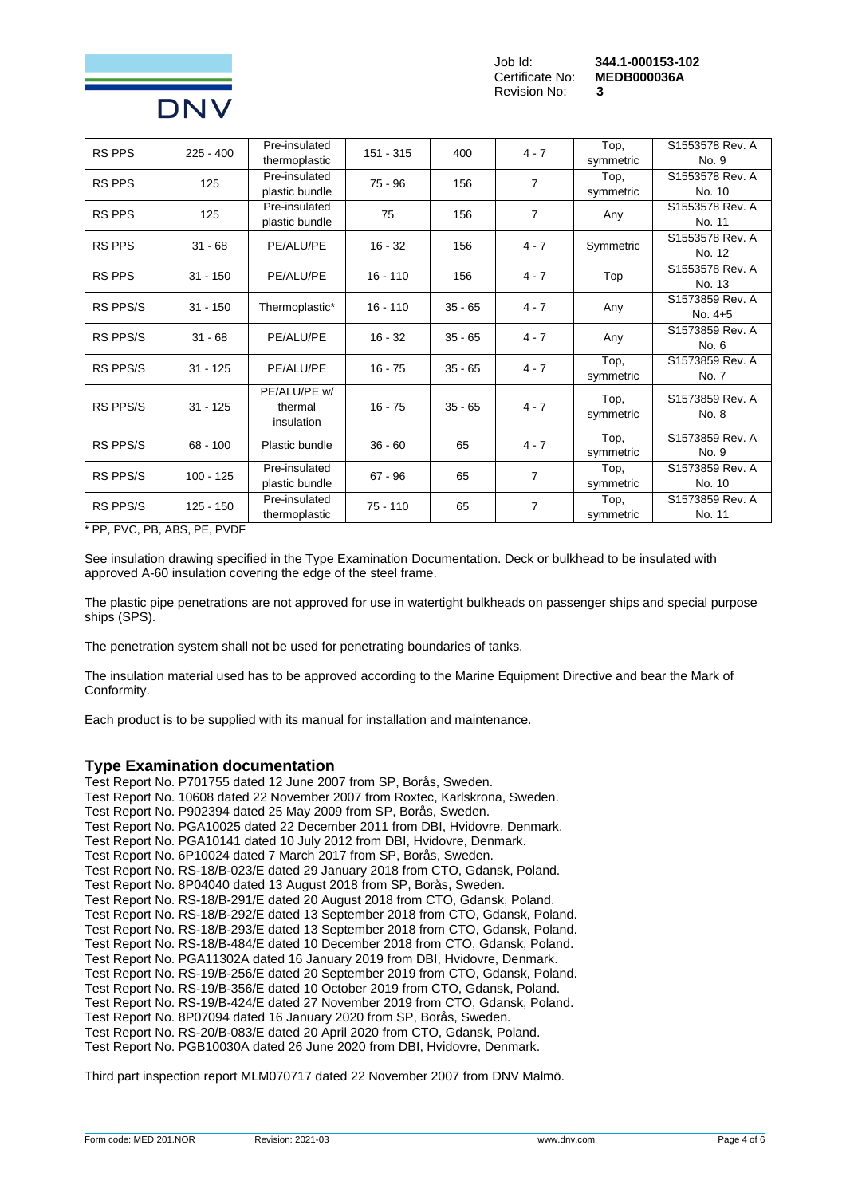

**Certificate No:** Revision No: **3**

| <b>RS PPS</b>   | $225 - 400$ | Pre-insulated  | 151 - 315  | 400       | $4 - 7$        | Top,      | S1553578 Rev. A |
|-----------------|-------------|----------------|------------|-----------|----------------|-----------|-----------------|
|                 |             | thermoplastic  |            |           |                | symmetric | No. 9           |
| <b>RS PPS</b>   | 125         | Pre-insulated  | $75 - 96$  | 156       | $\overline{7}$ | Top,      | S1553578 Rev. A |
|                 |             | plastic bundle |            |           |                | symmetric | No. 10          |
| <b>RS PPS</b>   | 125         | Pre-insulated  |            | 75<br>156 | $\overline{7}$ |           | S1553578 Rev. A |
|                 |             | plastic bundle |            |           |                | Any       | No. 11          |
| <b>RS PPS</b>   | $31 - 68$   | PE/ALU/PE      | $16 - 32$  | 156       | $4 - 7$        |           | S1553578 Rev. A |
|                 |             |                |            |           |                | Symmetric | No. 12          |
| <b>RS PPS</b>   | $31 - 150$  | PE/ALU/PE      | $16 - 110$ | 156       | $4 - 7$        | Top       | S1553578 Rev. A |
|                 |             |                |            |           |                |           | No. 13          |
| <b>RS PPS/S</b> | $31 - 150$  | Thermoplastic* | $16 - 110$ | $35 - 65$ | $4 - 7$        | Any       | S1573859 Rev. A |
|                 |             |                |            |           |                |           | No. $4+5$       |
| <b>RS PPS/S</b> | $31 - 68$   | PE/ALU/PE      | $16 - 32$  | $35 - 65$ | $4 - 7$        | Any       | S1573859 Rev. A |
|                 |             |                |            |           |                |           | No. 6           |
| <b>RS PPS/S</b> | $31 - 125$  | PE/ALU/PE      | $16 - 75$  | $35 - 65$ | $4 - 7$        | Top,      | S1573859 Rev. A |
|                 |             |                |            |           |                | symmetric | No. 7           |
|                 |             | PE/ALU/PE w/   |            |           |                | Top,      | S1573859 Rev. A |
| <b>RS PPS/S</b> | $31 - 125$  | thermal        | $16 - 75$  | $35 - 65$ | $4 - 7$        | symmetric | No. 8           |
|                 |             | insulation     |            |           |                |           |                 |
| <b>RS PPS/S</b> | 68 - 100    | Plastic bundle | $36 - 60$  | 65        | $4 - 7$        | Top,      | S1573859 Rev. A |
|                 |             |                |            |           |                | symmetric | No. 9           |
| <b>RS PPS/S</b> | $100 - 125$ | Pre-insulated  | $67 - 96$  | 65        | 7              | Top,      | S1573859 Rev. A |
|                 |             | plastic bundle |            |           |                | symmetric | No. 10          |
| <b>RS PPS/S</b> | $125 - 150$ | Pre-insulated  | $75 - 110$ | 65        | 7              | Top,      | S1573859 Rev. A |
|                 |             | thermoplastic  |            |           |                | symmetric | No. 11          |

\* PP, PVC, PB, ABS, PE, PVDF

See insulation drawing specified in the Type Examination Documentation. Deck or bulkhead to be insulated with approved A-60 insulation covering the edge of the steel frame.

The plastic pipe penetrations are not approved for use in watertight bulkheads on passenger ships and special purpose ships (SPS).

The penetration system shall not be used for penetrating boundaries of tanks.

The insulation material used has to be approved according to the Marine Equipment Directive and bear the Mark of Conformity.

Each product is to be supplied with its manual for installation and maintenance.

# **Type Examination documentation**

Test Report No. P701755 dated 12 June 2007 from SP, Borås, Sweden. Test Report No. 10608 dated 22 November 2007 from Roxtec, Karlskrona, Sweden. Test Report No. P902394 dated 25 May 2009 from SP, Borås, Sweden. Test Report No. PGA10025 dated 22 December 2011 from DBI, Hvidovre, Denmark. Test Report No. PGA10141 dated 10 July 2012 from DBI, Hvidovre, Denmark. Test Report No. 6P10024 dated 7 March 2017 from SP, Borås, Sweden. Test Report No. RS-18/B-023/E dated 29 January 2018 from CTO, Gdansk, Poland. Test Report No. 8P04040 dated 13 August 2018 from SP, Borås, Sweden. Test Report No. RS-18/B-291/E dated 20 August 2018 from CTO, Gdansk, Poland. Test Report No. RS-18/B-292/E dated 13 September 2018 from CTO, Gdansk, Poland. Test Report No. RS-18/B-293/E dated 13 September 2018 from CTO, Gdansk, Poland. Test Report No. RS-18/B-484/E dated 10 December 2018 from CTO, Gdansk, Poland. Test Report No. PGA11302A dated 16 January 2019 from DBI, Hvidovre, Denmark. Test Report No. RS-19/B-256/E dated 20 September 2019 from CTO, Gdansk, Poland. Test Report No. RS-19/B-356/E dated 10 October 2019 from CTO, Gdansk, Poland. Test Report No. RS-19/B-424/E dated 27 November 2019 from CTO, Gdansk, Poland. Test Report No. 8P07094 dated 16 January 2020 from SP, Borås, Sweden. Test Report No. RS-20/B-083/E dated 20 April 2020 from CTO, Gdansk, Poland. Test Report No. PGB10030A dated 26 June 2020 from DBI, Hvidovre, Denmark.

Third part inspection report MLM070717 dated 22 November 2007 from DNV Malmö.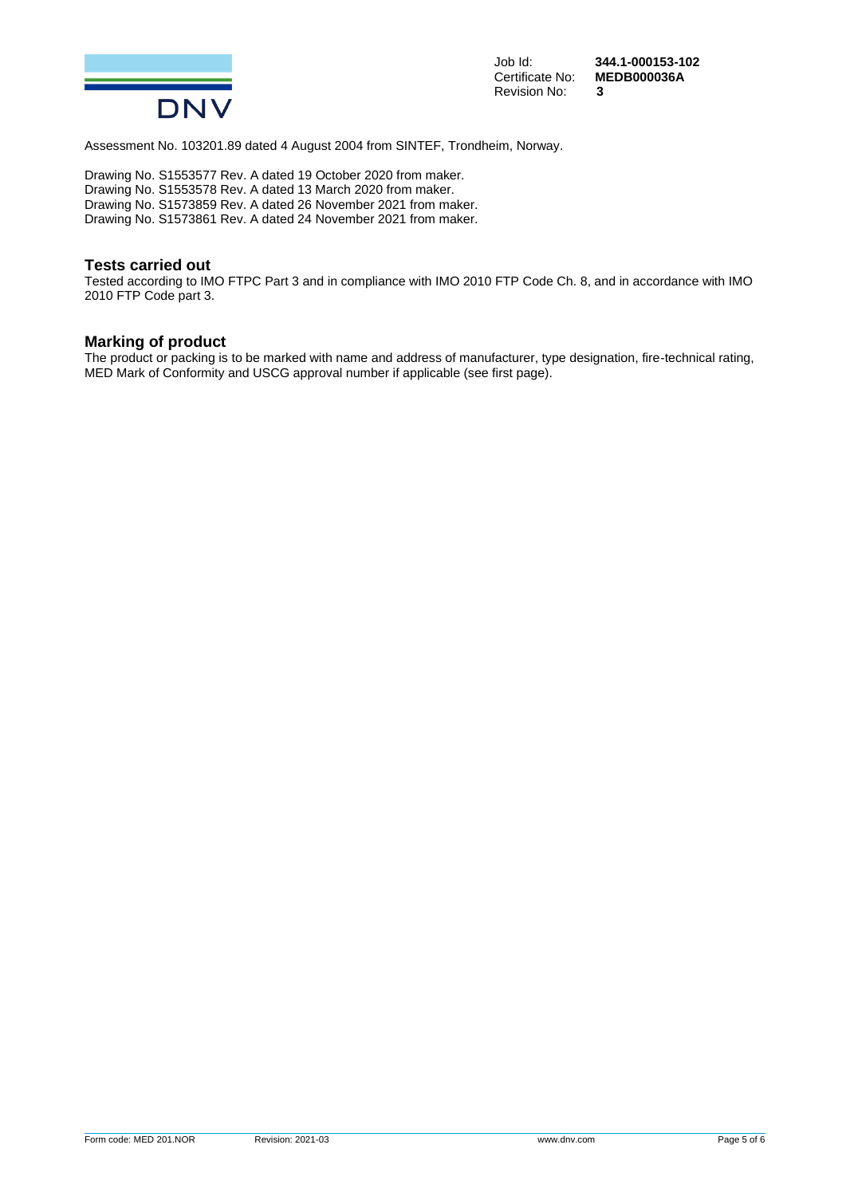

Revision No: **3**

Job Id: **344.1-000153-102** MEDB000036A<br>3

Assessment No. 103201.89 dated 4 August 2004 from SINTEF, Trondheim, Norway.

Drawing No. S1553577 Rev. A dated 19 October 2020 from maker. Drawing No. S1553578 Rev. A dated 13 March 2020 from maker. Drawing No. S1573859 Rev. A dated 26 November 2021 from maker. Drawing No. S1573861 Rev. A dated 24 November 2021 from maker.

# **Tests carried out**

Tested according to IMO FTPC Part 3 and in compliance with IMO 2010 FTP Code Ch. 8, and in accordance with IMO 2010 FTP Code part 3.

# **Marking of product**

The product or packing is to be marked with name and address of manufacturer, type designation, fire-technical rating, MED Mark of Conformity and USCG approval number if applicable (see first page).